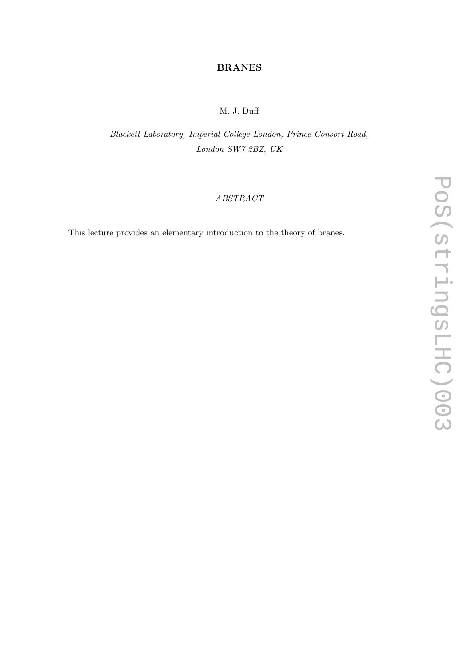# BRANES

# M. J. Duff

# Blackett Laboratory, Imperial College London, Prince Consort Road, London SW7 2BZ, UK

## ABSTRACT

This lecture provides an elementary introduction to the theory of branes.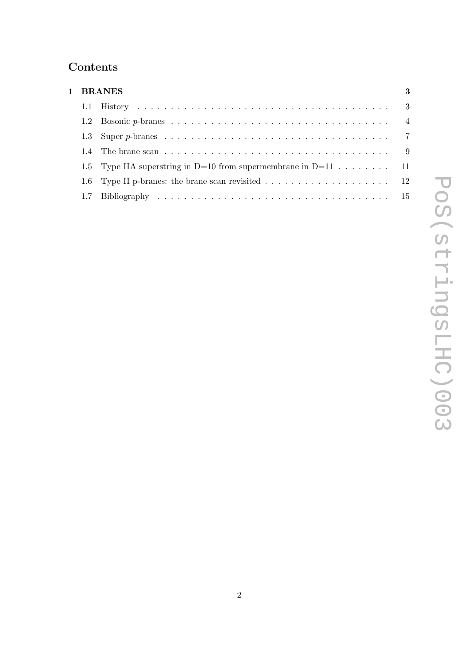# Contents

|  | 1 BRANES<br>3                                                                |  |  |  |  |  |  |
|--|------------------------------------------------------------------------------|--|--|--|--|--|--|
|  |                                                                              |  |  |  |  |  |  |
|  |                                                                              |  |  |  |  |  |  |
|  |                                                                              |  |  |  |  |  |  |
|  |                                                                              |  |  |  |  |  |  |
|  | 1.5 Type IIA superstring in D=10 from supermembrane in D=11 $\dots \dots$ 11 |  |  |  |  |  |  |
|  |                                                                              |  |  |  |  |  |  |
|  |                                                                              |  |  |  |  |  |  |
|  |                                                                              |  |  |  |  |  |  |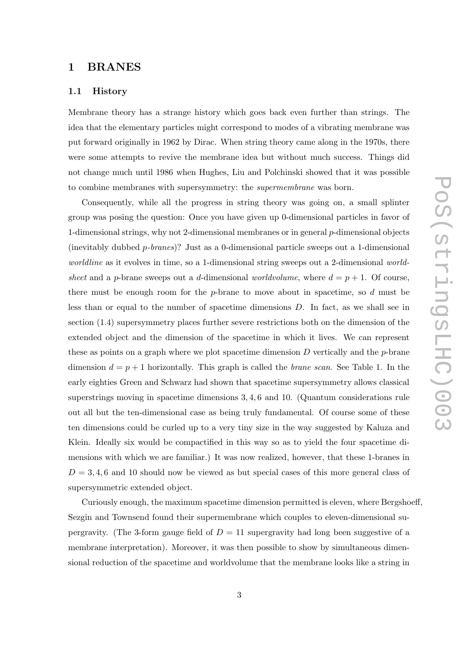### 1 BRANES

#### 1.1 History

Membrane theory has a strange history which goes back even further than strings. The idea that the elementary particles might correspond to modes of a vibrating membrane was put forward originally in 1962 by Dirac. When string theory came along in the 1970s, there were some attempts to revive the membrane idea but without much success. Things did not change much until 1986 when Hughes, Liu and Polchinski showed that it was possible to combine membranes with supersymmetry: the supermembrane was born.

Consequently, while all the progress in string theory was going on, a small splinter group was posing the question: Once you have given up 0-dimensional particles in favor of 1-dimensional strings, why not 2-dimensional membranes or in general p-dimensional objects (inevitably dubbed p-branes)? Just as a 0-dimensional particle sweeps out a 1-dimensional worldline as it evolves in time, so a 1-dimensional string sweeps out a 2-dimensional worldsheet and a p-brane sweeps out a d-dimensional worldvolume, where  $d = p + 1$ . Of course, there must be enough room for the p-brane to move about in spacetime, so d must be less than or equal to the number of spacetime dimensions D. In fact, as we shall see in section (1.4) supersymmetry places further severe restrictions both on the dimension of the extended object and the dimension of the spacetime in which it lives. We can represent these as points on a graph where we plot spacetime dimension  $D$  vertically and the  $p$ -brane dimension  $d = p + 1$  horizontally. This graph is called the *brane scan*. See Table 1. In the early eighties Green and Schwarz had shown that spacetime supersymmetry allows classical superstrings moving in spacetime dimensions 3, 4, 6 and 10. (Quantum considerations rule out all but the ten-dimensional case as being truly fundamental. Of course some of these ten dimensions could be curled up to a very tiny size in the way suggested by Kaluza and Klein. Ideally six would be compactified in this way so as to yield the four spacetime dimensions with which we are familiar.) It was now realized, however, that these 1-branes in  $D = 3, 4, 6$  and 10 should now be viewed as but special cases of this more general class of supersymmetric extended object.

Curiously enough, the maximum spacetime dimension permitted is eleven, where Bergshoeff, Sezgin and Townsend found their supermembrane which couples to eleven-dimensional supergravity. (The 3-form gauge field of  $D = 11$  supergravity had long been suggestive of a membrane interpretation). Moreover, it was then possible to show by simultaneous dimensional reduction of the spacetime and worldvolume that the membrane looks like a string in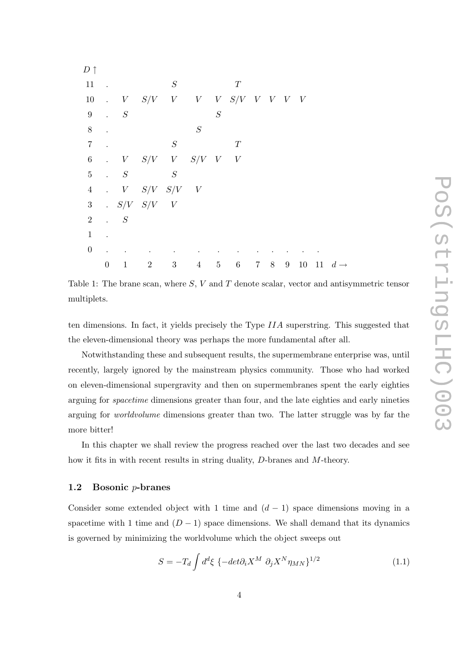| $D\uparrow$      |                           |              |                         |            |                |          |                           |                |       |                 |        |    |                 |
|------------------|---------------------------|--------------|-------------------------|------------|----------------|----------|---------------------------|----------------|-------|-----------------|--------|----|-----------------|
| 11               |                           |              |                         | $\cal S$   |                |          | T                         |                |       |                 |        |    |                 |
| $10\,$           | $\sim 10^{-10}$           | V            |                         |            | $S/V$ V V      |          | $V$ $S/V$ $V$ $V$ $V$ $V$ |                |       |                 |        |    |                 |
| $\boldsymbol{9}$ | $\mathbf{L}^{\text{max}}$ | $\cal S$     |                         |            |                | $\cal S$ |                           |                |       |                 |        |    |                 |
| $8\,$            | $\cdot$                   |              |                         |            | S              |          |                           |                |       |                 |        |    |                 |
| $\overline{7}$   | $\ddot{\phantom{0}}$      |              |                         | S          |                |          | T                         |                |       |                 |        |    |                 |
| $\,6\,$          | $\sim 10^{-11}$           |              | $V$ $S/V$ $V$ $S/V$ $V$ |            |                |          | V                         |                |       |                 |        |    |                 |
| $\bf 5$          | $\ddot{\phantom{0}}$      | S            |                         | S          |                |          |                           |                |       |                 |        |    |                 |
| $\overline{4}$   |                           |              | $\cdot$ V $S/V$ $S/V$   |            | V              |          |                           |                |       |                 |        |    |                 |
| $\boldsymbol{3}$ |                           |              | $S/V$ $S/V$ $V$         |            |                |          |                           |                |       |                 |        |    |                 |
| $\overline{2}$   | $\mathbf{L}$              | S            |                         |            |                |          |                           |                |       |                 |        |    |                 |
| $\,1$            |                           |              |                         |            |                |          |                           |                |       |                 |        |    |                 |
| $\boldsymbol{0}$ |                           |              |                         |            |                |          |                           |                |       |                 |        |    |                 |
|                  | $\boldsymbol{0}$          | $\mathbf{1}$ | $\boldsymbol{2}$        | $\sqrt{3}$ | $\overline{4}$ | $\bf 5$  | $\,6\,$                   | $\overline{7}$ | $8\,$ | $9\phantom{.0}$ | $10\,$ | 11 | $d \rightarrow$ |
|                  |                           |              |                         |            |                |          |                           |                |       |                 |        |    |                 |

Table 1: The brane scan, where S, V and T denote scalar, vector and antisymmetric tensor multiplets.

ten dimensions. In fact, it yields precisely the Type IIA superstring. This suggested that the eleven-dimensional theory was perhaps the more fundamental after all.

Notwithstanding these and subsequent results, the supermembrane enterprise was, until recently, largely ignored by the mainstream physics community. Those who had worked on eleven-dimensional supergravity and then on supermembranes spent the early eighties arguing for spacetime dimensions greater than four, and the late eighties and early nineties arguing for worldvolume dimensions greater than two. The latter struggle was by far the more bitter!

In this chapter we shall review the progress reached over the last two decades and see how it fits in with recent results in string duality, D-branes and M-theory.

#### 1.2 Bosonic p-branes

Consider some extended object with 1 time and  $(d-1)$  space dimensions moving in a spacetime with 1 time and  $(D-1)$  space dimensions. We shall demand that its dynamics is governed by minimizing the worldvolume which the object sweeps out

$$
S = -T_d \int d^d \xi \, \left\{ -det \partial_i X^M \partial_j X^N \eta_{MN} \right\}^{1/2} \tag{1.1}
$$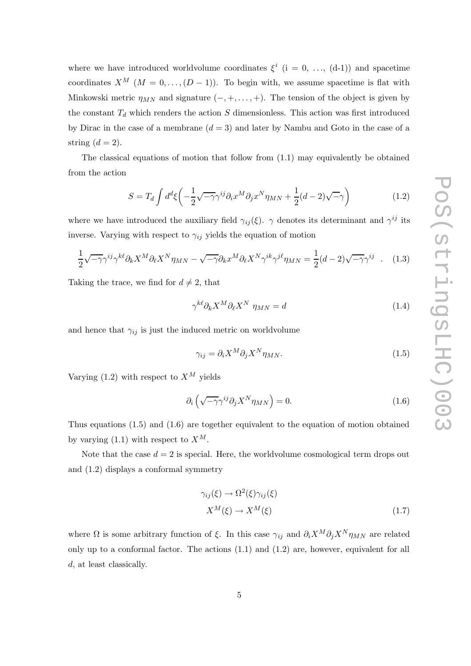where we have introduced worldvolume coordinates  $\xi^i$  (i = 0, ..., (d-1)) and spacetime coordinates  $X^M$  ( $M = 0, ..., (D-1)$ ). To begin with, we assume spacetime is flat with Minkowski metric  $\eta_{MN}$  and signature  $(-, +, \ldots, +)$ . The tension of the object is given by the constant  $T<sub>d</sub>$  which renders the action S dimensionless. This action was first introduced by Dirac in the case of a membrane  $(d = 3)$  and later by Nambu and Goto in the case of a string  $(d = 2)$ .

The classical equations of motion that follow from (1.1) may equivalently be obtained from the action

$$
S = T_d \int d^d \xi \left( -\frac{1}{2} \sqrt{-\gamma} \gamma^{ij} \partial_i x^M \partial_j x^N \eta_{MN} + \frac{1}{2} (d-2) \sqrt{-\gamma} \right) \tag{1.2}
$$

where we have introduced the auxiliary field  $\gamma_{ij}(\xi)$ .  $\gamma$  denotes its determinant and  $\gamma^{ij}$  its inverse. Varying with respect to  $\gamma_{ij}$  yields the equation of motion

$$
\frac{1}{2}\sqrt{-\gamma}\gamma^{ij}\gamma^{k\ell}\partial_k X^M \partial_\ell X^N \eta_{MN} - \sqrt{-\gamma}\partial_k x^M \partial_\ell X^N \gamma^{ik}\gamma^{j\ell} \eta_{MN} = \frac{1}{2}(d-2)\sqrt{-\gamma}\gamma^{ij} \quad . \quad (1.3)
$$

Taking the trace, we find for  $d \neq 2$ , that

$$
\gamma^{k\ell}\partial_k X^M \partial_\ell X^N \eta_{MN} = d \tag{1.4}
$$

and hence that  $\gamma_{ij}$  is just the induced metric on worldvolume

$$
\gamma_{ij} = \partial_i X^M \partial_j X^N \eta_{MN}.
$$
\n(1.5)

Varying (1.2) with respect to  $X^M$  yields

$$
\partial_i \left( \sqrt{-\gamma} \gamma^{ij} \partial_j X^N \eta_{MN} \right) = 0. \tag{1.6}
$$

Thus equations (1.5) and (1.6) are together equivalent to the equation of motion obtained by varying  $(1.1)$  with respect to  $X^M$ .

Note that the case  $d = 2$  is special. Here, the worldvolume cosmological term drops out and (1.2) displays a conformal symmetry

$$
\gamma_{ij}(\xi) \to \Omega^2(\xi)\gamma_{ij}(\xi)
$$
  

$$
X^M(\xi) \to X^M(\xi)
$$
 (1.7)

where  $\Omega$  is some arbitrary function of  $\xi$ . In this case  $\gamma_{ij}$  and  $\partial_i X^M \partial_j X^N \eta_{MN}$  are related only up to a conformal factor. The actions (1.1) and (1.2) are, however, equivalent for all d, at least classically.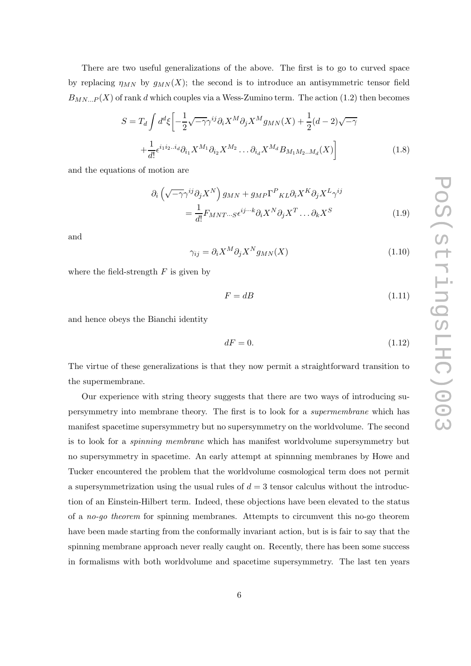There are two useful generalizations of the above. The first is to go to curved space by replacing  $\eta_{MN}$  by  $g_{MN}(X)$ ; the second is to introduce an antisymmetric tensor field  $B_{MN...P}(X)$  of rank d which couples via a Wess-Zumino term. The action (1.2) then becomes

$$
S = T_d \int d^d \xi \left[ -\frac{1}{2} \sqrt{-\gamma} \gamma^{ij} \partial_i X^M \partial_j X^M g_{MN}(X) + \frac{1}{2} (d-2) \sqrt{-\gamma} + \frac{1}{d!} \epsilon^{i_1 i_2 \dots i_d} \partial_{i_1} X^{M_1} \partial_{i_2} X^{M_2} \dots \partial_{i_d} X^{M_d} B_{M_1 M_2 \dots M_d}(X) \right]
$$
(1.8)

and the equations of motion are

$$
\partial_i \left( \sqrt{-\gamma} \gamma^{ij} \partial_j X^N \right) g_{MN} + g_{MP} \Gamma^P{}_{KL} \partial_i X^K \partial_j X^L \gamma^{ij}
$$

$$
= \frac{1}{d!} F_{MNT \cdots S} \epsilon^{ij \cdots k} \partial_i X^N \partial_j X^T \cdots \partial_k X^S
$$
(1.9)

and

$$
\gamma_{ij} = \partial_i X^M \partial_j X^N g_{MN}(X) \tag{1.10}
$$

where the field-strength  $F$  is given by

$$
F = dB \tag{1.11}
$$

and hence obeys the Bianchi identity

$$
dF = 0.\t\t(1.12)
$$

The virtue of these generalizations is that they now permit a straightforward transition to the supermembrane.

Our experience with string theory suggests that there are two ways of introducing supersymmetry into membrane theory. The first is to look for a supermembrane which has manifest spacetime supersymmetry but no supersymmetry on the worldvolume. The second is to look for a spinning membrane which has manifest worldvolume supersymmetry but no supersymmetry in spacetime. An early attempt at spinnning membranes by Howe and Tucker encountered the problem that the worldvolume cosmological term does not permit a supersymmetrization using the usual rules of  $d = 3$  tensor calculus without the introduction of an Einstein-Hilbert term. Indeed, these objections have been elevated to the status of a no-go theorem for spinning membranes. Attempts to circumvent this no-go theorem have been made starting from the conformally invariant action, but is is fair to say that the spinning membrane approach never really caught on. Recently, there has been some success in formalisms with both worldvolume and spacetime supersymmetry. The last ten years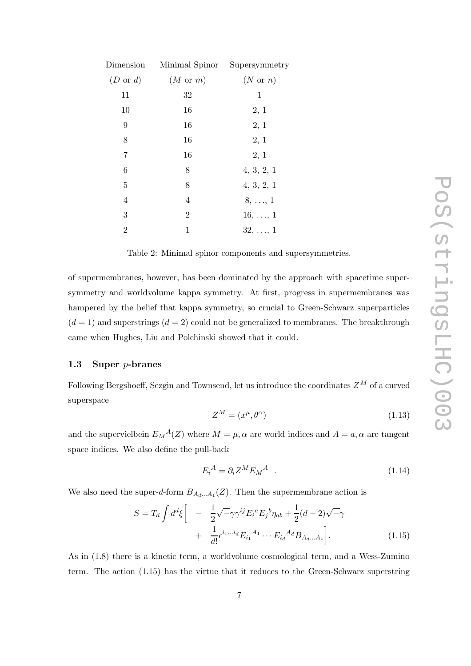| Dimension           | Minimal Spinor Supersymmetry |                     |
|---------------------|------------------------------|---------------------|
| $(D \text{ or } d)$ | $(M \text{ or } m)$          | $(N \text{ or } n)$ |
| 11                  | 32                           | 1                   |
| 10                  | 16                           | 2, 1                |
| 9                   | 16                           | 2, 1                |
| 8                   | 16                           | 2, 1                |
| 7                   | 16                           | 2, 1                |
| 6                   | 8                            | 4, 3, 2, 1          |
| $\overline{5}$      | 8                            | 4, 3, 2, 1          |
| 4                   | 4                            | $8, \ldots, 1$      |
| 3                   | $\overline{2}$               | $16, \ldots, 1$     |
| $\overline{2}$      | $\mathbf 1$                  | $32, \ldots, 1$     |
|                     |                              |                     |

Table 2: Minimal spinor components and supersymmetries.

of supermembranes, however, has been dominated by the approach with spacetime supersymmetry and worldvolume kappa symmetry. At first, progress in supermembranes was hampered by the belief that kappa symmetry, so crucial to Green-Schwarz superparticles  $(d = 1)$  and superstrings  $(d = 2)$  could not be generalized to membranes. The breakthrough came when Hughes, Liu and Polchinski showed that it could.

#### 1.3 Super p-branes

Following Bergshoeff, Sezgin and Townsend, let us introduce the coordinates  $Z^M$  of a curved superspace

$$
Z^M = (x^\mu, \theta^\alpha) \tag{1.13}
$$

and the supervielbein  $E_M^A(Z)$  where  $M = \mu, \alpha$  are world indices and  $A = a, \alpha$  are tangent space indices. We also define the pull-back

$$
E_i^A = \partial_i Z^M E_M^A \quad . \tag{1.14}
$$

We also need the super-d-form  $B_{A_d...A_1}(Z)$ . Then the supermembrane action is

$$
S = T_d \int d^d \xi \left[ -\frac{1}{2} \sqrt{-\gamma \gamma^{ij}} E_i^a E_j^b \eta_{ab} + \frac{1}{2} (d - 2) \sqrt{-\gamma} + \frac{1}{d!} \epsilon^{i_1 \dots i_d} E_{i_1}^{A_1} \dots E_{i_d}^{A_d} B_{A_d \dots A_1} \right].
$$
 (1.15)

As in (1.8) there is a kinetic term, a worldvolume cosmological term, and a Wess-Zumino term. The action (1.15) has the virtue that it reduces to the Green-Schwarz superstring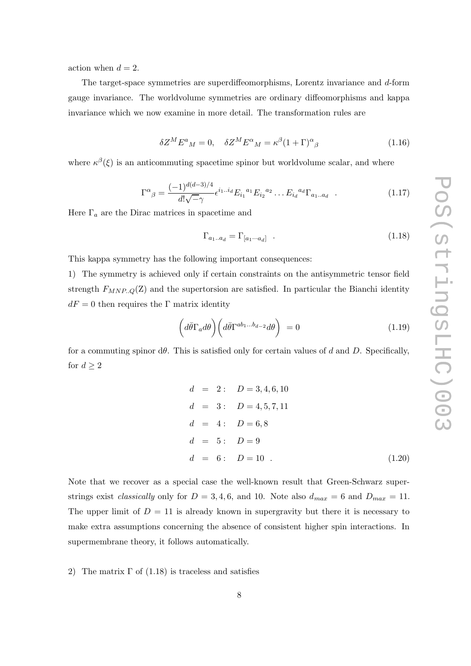action when  $d = 2$ .

The target-space symmetries are superdiffeomorphisms, Lorentz invariance and d-form gauge invariance. The worldvolume symmetries are ordinary diffeomorphisms and kappa invariance which we now examine in more detail. The transformation rules are

$$
\delta Z^{M} E^{a}{}_{M} = 0, \quad \delta Z^{M} E^{\alpha}{}_{M} = \kappa^{\beta} (1 + \Gamma)^{\alpha}{}_{\beta} \tag{1.16}
$$

where  $\kappa^{\beta}(\xi)$  is an anticommuting spacetime spinor but worldvolume scalar, and where

$$
\Gamma^{\alpha}{}_{\beta} = \frac{(-1)^{d(d-3)/4}}{d! \sqrt{-\gamma}} \epsilon^{i_1 \dots i_d} E_{i_1}{}^{a_1} E_{i_2}{}^{a_2} \dots E_{i_d}{}^{a_d} \Gamma_{a_1 \dots a_d} \quad . \tag{1.17}
$$

Here  $\Gamma_a$  are the Dirac matrices in spacetime and

$$
\Gamma_{a_1 \dots a_d} = \Gamma_{[a_1 \cdots a_d]} \quad . \tag{1.18}
$$

This kappa symmetry has the following important consequences:

1) The symmetry is achieved only if certain constraints on the antisymmetric tensor field strength  $F_{MNP,Q}(Z)$  and the supertorsion are satisfied. In particular the Bianchi identity  $dF = 0$  then requires the Γ matrix identity

$$
\left(d\bar{\theta}\Gamma_a d\theta\right) \left(d\bar{\theta}\Gamma^{ab_1...b_{d-2}}d\theta\right) = 0 \tag{1.19}
$$

for a commuting spinor  $d\theta$ . This is satisfied only for certain values of d and D. Specifically, for  $d \geq 2$ 

|  | $d = 2: D = 3, 4, 6, 10$ |        |
|--|--------------------------|--------|
|  | $d = 3: D = 4, 5, 7, 11$ |        |
|  | $d = 4: D = 6, 8$        |        |
|  | $d = 5: D = 9$           |        |
|  | $d = 6:$ $D = 10$ .      | (1.20) |

Note that we recover as a special case the well-known result that Green-Schwarz superstrings exist *classically* only for  $D = 3, 4, 6$ , and 10. Note also  $d_{max} = 6$  and  $D_{max} = 11$ . The upper limit of  $D = 11$  is already known in supergravity but there it is necessary to make extra assumptions concerning the absence of consistent higher spin interactions. In supermembrane theory, it follows automatically.

2) The matrix  $\Gamma$  of (1.18) is traceless and satisfies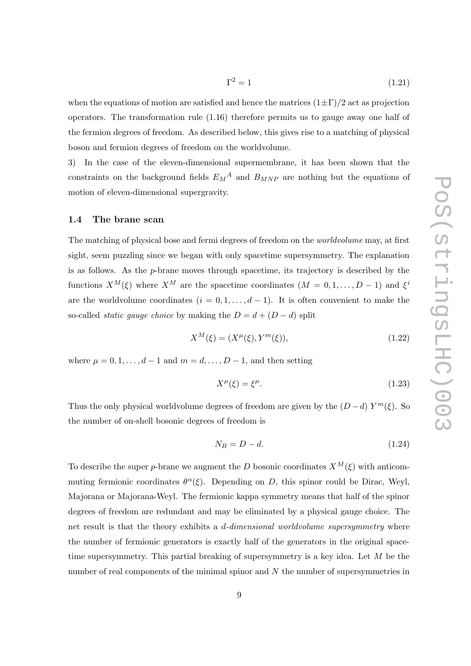$$
\Gamma^2 = 1\tag{1.21}
$$

when the equations of motion are satisfied and hence the matrices  $(1\pm\Gamma)/2$  act as projection operators. The transformation rule (1.16) therefore permits us to gauge away one half of the fermion degrees of freedom. As described below, this gives rise to a matching of physical boson and fermion degrees of freedom on the worldvolume.

3) In the case of the eleven-dimensional supermembrane, it has been shown that the constraints on the background fields  $E_M^A$  and  $B_{MNP}$  are nothing but the equations of motion of eleven-dimensional supergravity.

#### 1.4 The brane scan

The matching of physical bose and fermi degrees of freedom on the worldvolume may, at first sight, seem puzzling since we began with only spacetime supersymmetry. The explanation is as follows. As the  $p$ -brane moves through spacetime, its trajectory is described by the functions  $X^M(\xi)$  where  $X^M$  are the spacetime coordinates  $(M = 0, 1, \ldots, D - 1)$  and  $\xi^i$ are the worldvolume coordinates  $(i = 0, 1, \ldots, d - 1)$ . It is often convenient to make the so-called *static gauge choice* by making the  $D = d + (D - d)$  split

$$
X^M(\xi) = (X^\mu(\xi), Y^m(\xi)),\tag{1.22}
$$

where  $\mu = 0, 1, \ldots, d-1$  and  $m = d, \ldots, D-1$ , and then setting

$$
X^{\mu}(\xi) = \xi^{\mu}.\tag{1.23}
$$

Thus the only physical worldvolume degrees of freedom are given by the  $(D - d) Y^m(\xi)$ . So the number of on-shell bosonic degrees of freedom is

$$
N_B = D - d.\t\t(1.24)
$$

To describe the super p-brane we augment the D bosonic coordinates  $X^M(\xi)$  with anticommuting fermionic coordinates  $\theta^{\alpha}(\xi)$ . Depending on D, this spinor could be Dirac, Weyl, Majorana or Majorana-Weyl. The fermionic kappa symmetry means that half of the spinor degrees of freedom are redundant and may be eliminated by a physical gauge choice. The net result is that the theory exhibits a *d*-dimensional worldvolume supersymmetry where the number of fermionic generators is exactly half of the generators in the original spacetime supersymmetry. This partial breaking of supersymmetry is a key idea. Let M be the number of real components of the minimal spinor and N the number of supersymmetries in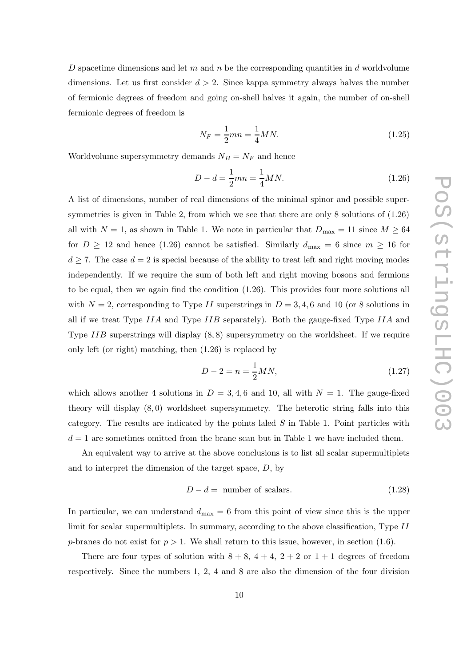D spacetime dimensions and let m and n be the corresponding quantities in d worldvolume dimensions. Let us first consider  $d > 2$ . Since kappa symmetry always halves the number of fermionic degrees of freedom and going on-shell halves it again, the number of on-shell fermionic degrees of freedom is

$$
N_F = \frac{1}{2}mn = \frac{1}{4}MN.
$$
\n(1.25)

Worldvolume supersymmetry demands  $N_B = N_F$  and hence

$$
D - d = \frac{1}{2}mn = \frac{1}{4}MN.
$$
\n(1.26)

A list of dimensions, number of real dimensions of the minimal spinor and possible supersymmetries is given in Table 2, from which we see that there are only 8 solutions of (1.26) all with  $N = 1$ , as shown in Table 1. We note in particular that  $D_{\text{max}} = 11$  since  $M \ge 64$ for  $D \ge 12$  and hence (1.26) cannot be satisfied. Similarly  $d_{\text{max}} = 6$  since  $m \ge 16$  for  $d \geq 7$ . The case  $d = 2$  is special because of the ability to treat left and right moving modes independently. If we require the sum of both left and right moving bosons and fermions to be equal, then we again find the condition (1.26). This provides four more solutions all with  $N = 2$ , corresponding to Type II superstrings in  $D = 3, 4, 6$  and 10 (or 8 solutions in all if we treat Type  $IIA$  and Type  $IIB$  separately). Both the gauge-fixed Type  $IIA$  and Type  $IIB$  superstrings will display  $(8, 8)$  supersymmetry on the worldsheet. If we require only left (or right) matching, then (1.26) is replaced by

$$
D - 2 = n = \frac{1}{2}MN,
$$
\n(1.27)

which allows another 4 solutions in  $D = 3, 4, 6$  and 10, all with  $N = 1$ . The gauge-fixed theory will display  $(8,0)$  worldsheet supersymmetry. The heterotic string falls into this category. The results are indicated by the points laled  $S$  in Table 1. Point particles with  $d = 1$  are sometimes omitted from the brane scan but in Table 1 we have included them.

An equivalent way to arrive at the above conclusions is to list all scalar supermultiplets and to interpret the dimension of the target space, D, by

$$
D - d = \text{ number of scalars.} \tag{1.28}
$$

In particular, we can understand  $d_{\text{max}} = 6$  from this point of view since this is the upper limit for scalar supermultiplets. In summary, according to the above classification, Type II p-branes do not exist for  $p > 1$ . We shall return to this issue, however, in section (1.6).

There are four types of solution with  $8 + 8$ ,  $4 + 4$ ,  $2 + 2$  or  $1 + 1$  degrees of freedom respectively. Since the numbers 1, 2, 4 and 8 are also the dimension of the four division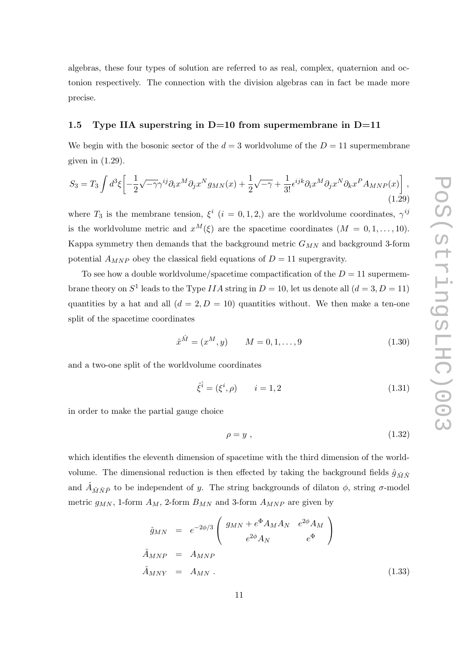algebras, these four types of solution are referred to as real, complex, quaternion and octonion respectively. The connection with the division algebras can in fact be made more precise.

#### 1.5 Type IIA superstring in D=10 from supermembrane in D=11

We begin with the bosonic sector of the  $d = 3$  worldvolume of the  $D = 11$  supermembrane given in (1.29).

$$
S_3 = T_3 \int d^3 \xi \left[ -\frac{1}{2} \sqrt{-\gamma} \gamma^{ij} \partial_i x^M \partial_j x^N g_{MN}(x) + \frac{1}{2} \sqrt{-\gamma} + \frac{1}{3!} \epsilon^{ijk} \partial_i x^M \partial_j x^N \partial_k x^P A_{MNP}(x) \right],
$$
\n(1.29)

where  $T_3$  is the membrane tension,  $\xi^i$   $(i = 0, 1, 2)$  are the worldvolume coordinates,  $\gamma^{ij}$ is the worldvolume metric and  $x^M(\xi)$  are the spacetime coordinates  $(M = 0, 1, \ldots, 10)$ . Kappa symmetry then demands that the background metric  $G_{MN}$  and background 3-form potential  $A_{MNP}$  obey the classical field equations of  $D = 11$  supergravity.

To see how a double worldvolume/spacetime compactification of the  $D = 11$  supermembrane theory on  $S^1$  leads to the Type IIA string in  $D = 10$ , let us denote all  $(d = 3, D = 11)$ quantities by a hat and all  $(d = 2, D = 10)$  quantities without. We then make a ten-one split of the spacetime coordinates

$$
\hat{x}^{\hat{M}} = (x^M, y) \qquad M = 0, 1, \dots, 9 \tag{1.30}
$$

and a two-one split of the worldvolume coordinates

$$
\hat{\xi}^{\hat{i}} = (\xi^i, \rho) \qquad i = 1, 2 \tag{1.31}
$$

in order to make the partial gauge choice

$$
\rho = y \tag{1.32}
$$

which identifies the eleventh dimension of spacetime with the third dimension of the worldvolume. The dimensional reduction is then effected by taking the background fields  $\hat{g}_{\hat{M}\hat{N}}$ and  $\hat{A}_{\hat{M}\hat{N}\hat{P}}$  to be independent of y. The string backgrounds of dilaton  $\phi$ , string  $\sigma$ -model metric  $g_{MN}$ , 1-form  $A_M$ , 2-form  $B_{MN}$  and 3-form  $A_{MNP}$  are given by

$$
\hat{g}_{MN} = e^{-2\phi/3} \begin{pmatrix} g_{MN} + e^{\Phi} A_M A_N & e^{2\phi} A_M \\ e^{2\phi} A_N & e^{\Phi} \end{pmatrix}
$$
  
\n
$$
\hat{A}_{MNP} = A_{MNP}
$$
  
\n
$$
\hat{A}_{MNY} = A_{MN}.
$$
\n(1.33)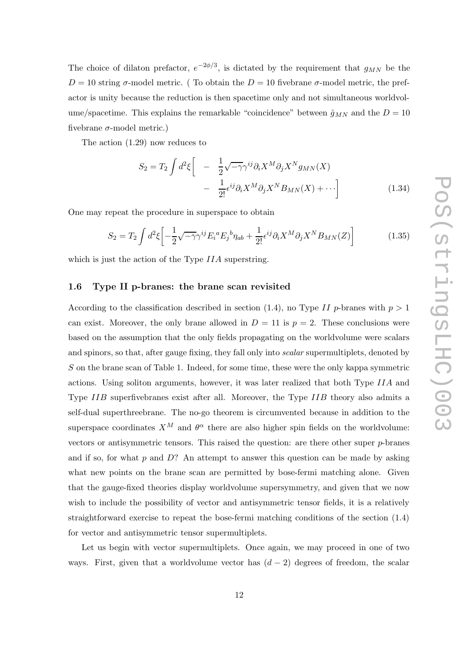The choice of dilaton prefactor,  $e^{-2\phi/3}$ , is dictated by the requirement that  $g_{MN}$  be the  $D = 10$  string  $\sigma$ -model metric. (To obtain the  $D = 10$  fivebrane  $\sigma$ -model metric, the prefactor is unity because the reduction is then spacetime only and not simultaneous worldvolume/spacetime. This explains the remarkable "coincidence" between  $\hat{g}_{MN}$  and the  $D = 10$ fivebrane  $\sigma$ -model metric.)

The action (1.29) now reduces to

$$
S_2 = T_2 \int d^2 \xi \left[ -\frac{1}{2} \sqrt{-\gamma} \gamma^{ij} \partial_i X^M \partial_j X^N g_{MN}(X) - \frac{1}{2!} \epsilon^{ij} \partial_i X^M \partial_j X^N B_{MN}(X) + \cdots \right]
$$
(1.34)

One may repeat the procedure in superspace to obtain

$$
S_2 = T_2 \int d^2 \xi \left[ -\frac{1}{2} \sqrt{-\gamma} \gamma^{ij} E_i^a E_j^b \eta_{ab} + \frac{1}{2!} \epsilon^{ij} \partial_i X^M \partial_j X^N B_{MN}(Z) \right]
$$
(1.35)

which is just the action of the Type IIA superstring.

#### 1.6 Type II p-branes: the brane scan revisited

According to the classification described in section (1.4), no Type II p-branes with  $p > 1$ can exist. Moreover, the only brane allowed in  $D = 11$  is  $p = 2$ . These conclusions were based on the assumption that the only fields propagating on the worldvolume were scalars and spinors, so that, after gauge fixing, they fall only into scalar supermultiplets, denoted by S on the brane scan of Table 1. Indeed, for some time, these were the only kappa symmetric actions. Using soliton arguments, however, it was later realized that both Type IIA and Type IIB superfivebranes exist after all. Moreover, the Type IIB theory also admits a self-dual superthreebrane. The no-go theorem is circumvented because in addition to the superspace coordinates  $X^M$  and  $\theta^{\alpha}$  there are also higher spin fields on the worldvolume: vectors or antisymmetric tensors. This raised the question: are there other super p-branes and if so, for what  $p$  and  $D$ ? An attempt to answer this question can be made by asking what new points on the brane scan are permitted by bose-fermi matching alone. Given that the gauge-fixed theories display worldvolume supersymmetry, and given that we now wish to include the possibility of vector and antisymmetric tensor fields, it is a relatively straightforward exercise to repeat the bose-fermi matching conditions of the section (1.4) for vector and antisymmetric tensor supermultiplets.

Let us begin with vector supermultiplets. Once again, we may proceed in one of two ways. First, given that a worldvolume vector has  $(d-2)$  degrees of freedom, the scalar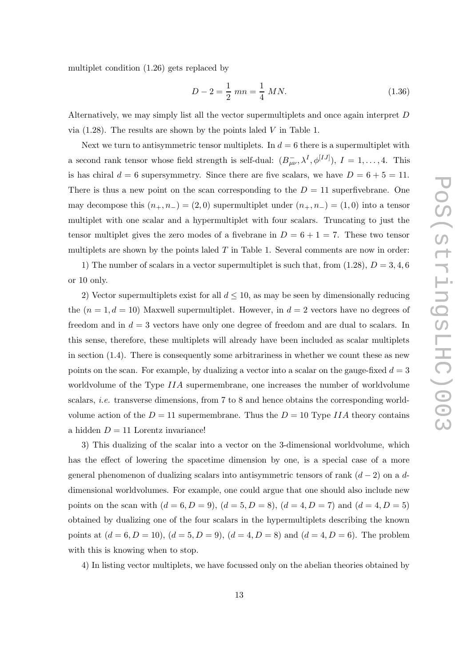multiplet condition (1.26) gets replaced by

$$
D - 2 = \frac{1}{2} \, mn = \frac{1}{4} \, MN. \tag{1.36}
$$

Alternatively, we may simply list all the vector supermultiplets and once again interpret D via  $(1.28)$ . The results are shown by the points laled V in Table 1.

Next we turn to antisymmetric tensor multiplets. In  $d = 6$  there is a supermultiplet with a second rank tensor whose field strength is self-dual:  $(B_{\mu\nu}^-, \lambda^I, \phi^{[IJ]})$ ,  $I = 1, \ldots, 4$ . This is has chiral  $d = 6$  supersymmetry. Since there are five scalars, we have  $D = 6 + 5 = 11$ . There is thus a new point on the scan corresponding to the  $D = 11$  superfivebrane. One may decompose this  $(n_+, n_-) = (2, 0)$  supermultiplet under  $(n_+, n_-) = (1, 0)$  into a tensor multiplet with one scalar and a hypermultiplet with four scalars. Truncating to just the tensor multiplet gives the zero modes of a fivebrane in  $D = 6 + 1 = 7$ . These two tensor multiplets are shown by the points laled  $T$  in Table 1. Several comments are now in order:

1) The number of scalars in a vector supermultiplet is such that, from  $(1.28)$ ,  $D = 3, 4, 6$ or 10 only.

2) Vector supermultiplets exist for all  $d \leq 10$ , as may be seen by dimensionally reducing the  $(n = 1, d = 10)$  Maxwell supermultiplet. However, in  $d = 2$  vectors have no degrees of freedom and in  $d = 3$  vectors have only one degree of freedom and are dual to scalars. In this sense, therefore, these multiplets will already have been included as scalar multiplets in section (1.4). There is consequently some arbitrariness in whether we count these as new points on the scan. For example, by dualizing a vector into a scalar on the gauge-fixed  $d = 3$ worldvolume of the Type IIA supermembrane, one increases the number of worldvolume scalars, *i.e.* transverse dimensions, from 7 to 8 and hence obtains the corresponding worldvolume action of the  $D = 11$  supermembrane. Thus the  $D = 10$  Type IIA theory contains a hidden  $D = 11$  Lorentz invariance!

3) This dualizing of the scalar into a vector on the 3-dimensional worldvolume, which has the effect of lowering the spacetime dimension by one, is a special case of a more general phenomenon of dualizing scalars into antisymmetric tensors of rank  $(d-2)$  on a ddimensional worldvolumes. For example, one could argue that one should also include new points on the scan with  $(d = 6, D = 9)$ ,  $(d = 5, D = 8)$ ,  $(d = 4, D = 7)$  and  $(d = 4, D = 5)$ obtained by dualizing one of the four scalars in the hypermultiplets describing the known points at  $(d = 6, D = 10)$ ,  $(d = 5, D = 9)$ ,  $(d = 4, D = 8)$  and  $(d = 4, D = 6)$ . The problem with this is knowing when to stop.

4) In listing vector multiplets, we have focussed only on the abelian theories obtained by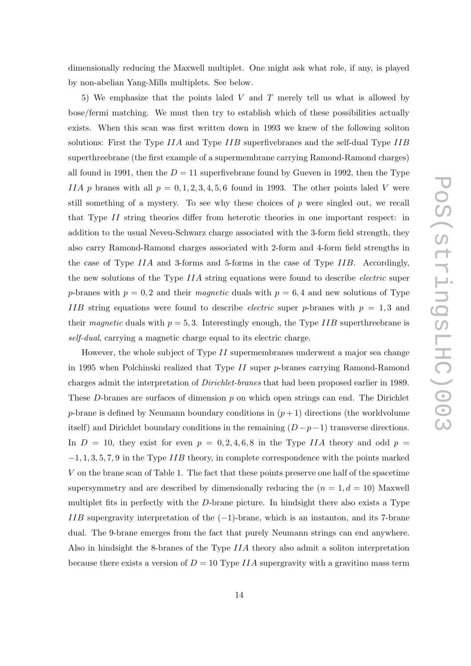dimensionally reducing the Maxwell multiplet. One might ask what role, if any, is played by non-abelian Yang-Mills multiplets. See below.

5) We emphasize that the points laled  $V$  and  $T$  merely tell us what is allowed by bose/fermi matching. We must then try to establish which of these possibilities actually exists. When this scan was first written down in 1993 we knew of the following soliton solutions: First the Type IIA and Type IIB superfivebranes and the self-dual Type IIB superthreebrane (the first example of a supermembrane carrying Ramond-Ramond charges) all found in 1991, then the  $D = 11$  superfivebrane found by Gueven in 1992, then the Type IIA p branes with all  $p = 0, 1, 2, 3, 4, 5, 6$  found in 1993. The other points laled V were still something of a mystery. To see why these choices of  $p$  were singled out, we recall that Type II string theories differ from heterotic theories in one important respect: in addition to the usual Neveu-Schwarz charge associated with the 3-form field strength, they also carry Ramond-Ramond charges associated with 2-form and 4-form field strengths in the case of Type IIA and 3-forms and 5-forms in the case of Type IIB. Accordingly, the new solutions of the Type IIA string equations were found to describe *electric* super p-branes with  $p = 0, 2$  and their magnetic duals with  $p = 6, 4$  and new solutions of Type IIB string equations were found to describe *electric* super p-branes with  $p = 1, 3$  and their magnetic duals with  $p = 5, 3$ . Interestingly enough, the Type IIB superthreebrane is self-dual, carrying a magnetic charge equal to its electric charge.

However, the whole subject of Type II supermembranes underwent a major sea change in 1995 when Polchinski realized that Type  $II$  super p-branes carrying Ramond-Ramond charges admit the interpretation of Dirichlet-branes that had been proposed earlier in 1989. These  $D$ -branes are surfaces of dimension  $p$  on which open strings can end. The Dirichlet p-brane is defined by Neumann boundary conditions in  $(p+1)$  directions (the worldvolume itself) and Dirichlet boundary conditions in the remaining  $(D-p-1)$  transverse directions. In  $D = 10$ , they exist for even  $p = 0, 2, 4, 6, 8$  in the Type IIA theory and odd  $p =$  $-1, 1, 3, 5, 7, 9$  in the Type IIB theory, in complete correspondence with the points marked V on the brane scan of Table 1. The fact that these points preserve one half of the spacetime supersymmetry and are described by dimensionally reducing the  $(n = 1, d = 10)$  Maxwell multiplet fits in perfectly with the D-brane picture. In hindsight there also exists a Type IIB supergravity interpretation of the  $(-1)$ -brane, which is an instanton, and its 7-brane dual. The 9-brane emerges from the fact that purely Neumann strings can end anywhere. Also in hindsight the 8-branes of the Type IIA theory also admit a soliton interpretation because there exists a version of  $D = 10$  Type IIA supergravity with a gravitino mass term